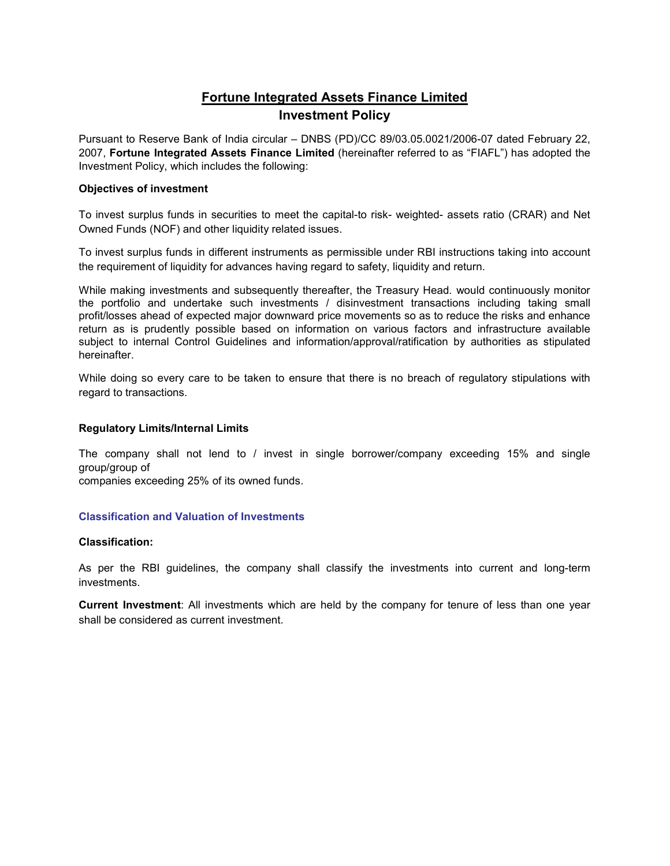# Fortune Integrated Assets Finance Limited Investment Policy

Pursuant to Reserve Bank of India circular – DNBS (PD)/CC 89/03.05.0021/2006-07 dated February 22, 2007, Fortune Integrated Assets Finance Limited (hereinafter referred to as "FIAFL") has adopted the Investment Policy, which includes the following:

# Objectives of investment

To invest surplus funds in securities to meet the capital-to risk- weighted- assets ratio (CRAR) and Net Owned Funds (NOF) and other liquidity related issues.

To invest surplus funds in different instruments as permissible under RBI instructions taking into account the requirement of liquidity for advances having regard to safety, liquidity and return.

While making investments and subsequently thereafter, the Treasury Head. would continuously monitor the portfolio and undertake such investments / disinvestment transactions including taking small profit/losses ahead of expected major downward price movements so as to reduce the risks and enhance return as is prudently possible based on information on various factors and infrastructure available subject to internal Control Guidelines and information/approval/ratification by authorities as stipulated hereinafter.

While doing so every care to be taken to ensure that there is no breach of regulatory stipulations with regard to transactions.

## Regulatory Limits/Internal Limits

The company shall not lend to / invest in single borrower/company exceeding 15% and single group/group of

companies exceeding 25% of its owned funds.

# Classification and Valuation of Investments

## Classification:

As per the RBI guidelines, the company shall classify the investments into current and long-term investments.

Current Investment: All investments which are held by the company for tenure of less than one year shall be considered as current investment.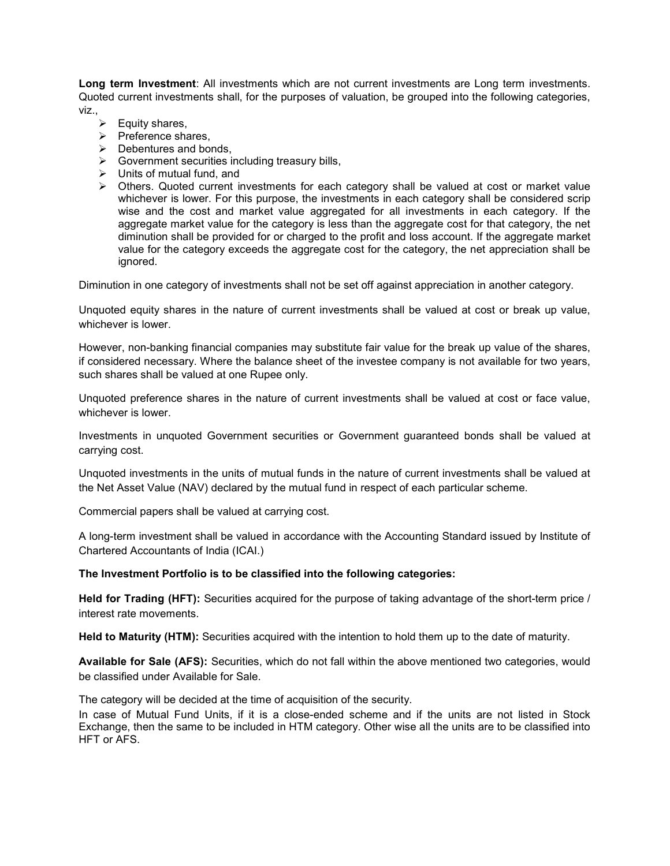Long term Investment: All investments which are not current investments are Long term investments. Quoted current investments shall, for the purposes of valuation, be grouped into the following categories, viz.,

- $\triangleright$  Equity shares,
- $\triangleright$  Preference shares,
- $\triangleright$  Debentures and bonds,
- $\triangleright$  Government securities including treasury bills,
- $\triangleright$  Units of mutual fund, and
- > Others. Quoted current investments for each category shall be valued at cost or market value whichever is lower. For this purpose, the investments in each category shall be considered scrip wise and the cost and market value aggregated for all investments in each category. If the aggregate market value for the category is less than the aggregate cost for that category, the net diminution shall be provided for or charged to the profit and loss account. If the aggregate market value for the category exceeds the aggregate cost for the category, the net appreciation shall be ignored.

Diminution in one category of investments shall not be set off against appreciation in another category.

Unquoted equity shares in the nature of current investments shall be valued at cost or break up value, whichever is lower

However, non-banking financial companies may substitute fair value for the break up value of the shares, if considered necessary. Where the balance sheet of the investee company is not available for two years, such shares shall be valued at one Rupee only.

Unquoted preference shares in the nature of current investments shall be valued at cost or face value, whichever is lower.

Investments in unquoted Government securities or Government guaranteed bonds shall be valued at carrying cost.

Unquoted investments in the units of mutual funds in the nature of current investments shall be valued at the Net Asset Value (NAV) declared by the mutual fund in respect of each particular scheme.

Commercial papers shall be valued at carrying cost.

A long-term investment shall be valued in accordance with the Accounting Standard issued by Institute of Chartered Accountants of India (ICAI.)

#### The Investment Portfolio is to be classified into the following categories:

Held for Trading (HFT): Securities acquired for the purpose of taking advantage of the short-term price / interest rate movements.

Held to Maturity (HTM): Securities acquired with the intention to hold them up to the date of maturity.

Available for Sale (AFS): Securities, which do not fall within the above mentioned two categories, would be classified under Available for Sale.

The category will be decided at the time of acquisition of the security.

In case of Mutual Fund Units, if it is a close-ended scheme and if the units are not listed in Stock Exchange, then the same to be included in HTM category. Other wise all the units are to be classified into HFT or AFS.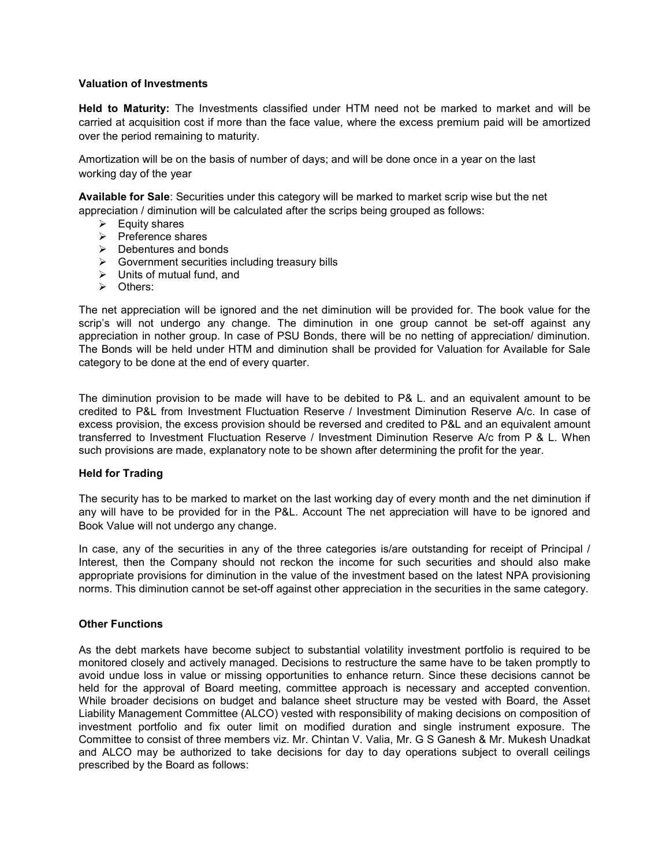#### Valuation of Investments

Held to Maturity: The Investments classified under HTM need not be marked to market and will be carried at acquisition cost if more than the face value, where the excess premium paid will be amortized over the period remaining to maturity.

Amortization will be on the basis of number of days; and will be done once in a year on the last working day of the year

Available for Sale: Securities under this category will be marked to market scrip wise but the net appreciation / diminution will be calculated after the scrips being grouped as follows:

- $\triangleright$  Equity shares
- $\triangleright$  Preference shares
- $\triangleright$  Debentures and bonds
- $\triangleright$  Government securities including treasury bills
- $\triangleright$  Units of mutual fund, and
- **▶ Others:**

The net appreciation will be ignored and the net diminution will be provided for. The book value for the scrip's will not undergo any change. The diminution in one group cannot be set-off against any appreciation in nother group. In case of PSU Bonds, there will be no netting of appreciation/ diminution. The Bonds will be held under HTM and diminution shall be provided for Valuation for Available for Sale category to be done at the end of every quarter.

The diminution provision to be made will have to be debited to P& L. and an equivalent amount to be credited to P&L from Investment Fluctuation Reserve / Investment Diminution Reserve A/c. In case of excess provision, the excess provision should be reversed and credited to P&L and an equivalent amount transferred to Investment Fluctuation Reserve / Investment Diminution Reserve A/c from P & L. When such provisions are made, explanatory note to be shown after determining the profit for the year.

#### Held for Trading

The security has to be marked to market on the last working day of every month and the net diminution if any will have to be provided for in the P&L. Account The net appreciation will have to be ignored and Book Value will not undergo any change.

In case, any of the securities in any of the three categories is/are outstanding for receipt of Principal / Interest, then the Company should not reckon the income for such securities and should also make appropriate provisions for diminution in the value of the investment based on the latest NPA provisioning norms. This diminution cannot be set-off against other appreciation in the securities in the same category.

#### Other Functions

As the debt markets have become subject to substantial volatility investment portfolio is required to be monitored closely and actively managed. Decisions to restructure the same have to be taken promptly to avoid undue loss in value or missing opportunities to enhance return. Since these decisions cannot be held for the approval of Board meeting, committee approach is necessary and accepted convention. While broader decisions on budget and balance sheet structure may be vested with Board, the Asset Liability Management Committee (ALCO) vested with responsibility of making decisions on composition of investment portfolio and fix outer limit on modified duration and single instrument exposure. The Committee to consist of three members viz. Mr. Chintan V. Valia, Mr. G S Ganesh & Mr. Mukesh Unadkat and ALCO may be authorized to take decisions for day to day operations subject to overall ceilings prescribed by the Board as follows: